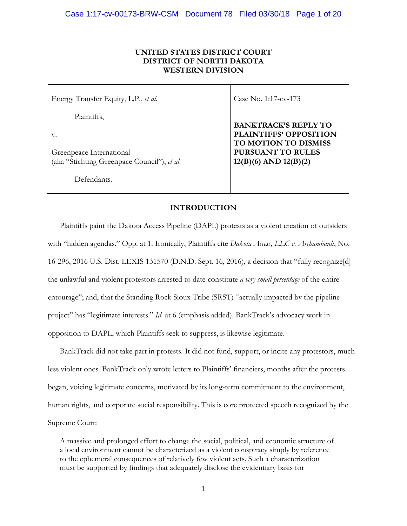# **UNITED STATES DISTRICT COURT DISTRICT OF NORTH DAKOTA WESTERN DIVISION**

Energy Transfer Equity, L.P., *et al*.

Plaintiffs,

v.

Greenpeace International (aka "Stichting Greenpace Council"), *et al*.

Defendants.

Case No. 1:17-cv-173

**BANKTRACK'S REPLY TO PLAINTIFFS' OPPOSITION TO MOTION TO DISMISS PURSUANT TO RULES 12(B)(6) AND 12(B)(2)**

# **INTRODUCTION**

Plaintiffs paint the Dakota Access Pipeline (DAPL) protests as a violent creation of outsiders with "hidden agendas." Opp. at 1. Ironically, Plaintiffs cite *Dakota Access, LLC v. Archambault*, No. 16-296, 2016 U.S. Dist. LEXIS 131570 (D.N.D. Sept. 16, 2016), a decision that "fully recognize[d] the unlawful and violent protestors arrested to date constitute *a very small percentage* of the entire entourage"; and, that the Standing Rock Sioux Tribe (SRST) "actually impacted by the pipeline project" has "legitimate interests." *Id.* at 6 (emphasis added). BankTrack's advocacy work in opposition to DAPL, which Plaintiffs seek to suppress, is likewise legitimate.

BankTrack did not take part in protests. It did not fund, support, or incite any protestors, much less violent ones. BankTrack only wrote letters to Plaintiffs' financiers, months after the protests began, voicing legitimate concerns, motivated by its long-term commitment to the environment, human rights, and corporate social responsibility. This is core protected speech recognized by the Supreme Court:

A massive and prolonged effort to change the social, political, and economic structure of a local environment cannot be characterized as a violent conspiracy simply by reference to the ephemeral consequences of relatively few violent acts. Such a characterization must be supported by findings that adequately disclose the evidentiary basis for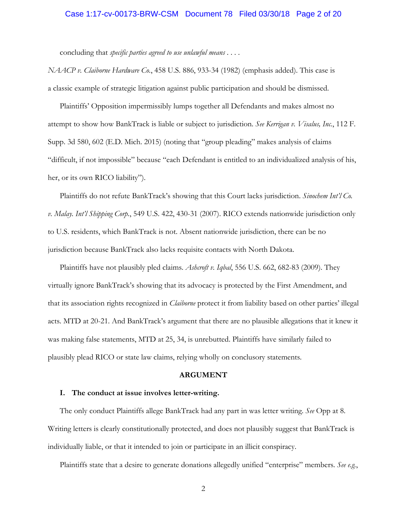### Case 1:17-cv-00173-BRW-CSM Document 78 Filed 03/30/18 Page 2 of 20

concluding that *specific parties agreed to use unlawful means* . . . .

*NAACP v. Claiborne Hardware Co.*, 458 U.S. 886, 933-34 (1982) (emphasis added). This case is a classic example of strategic litigation against public participation and should be dismissed.

Plaintiffs' Opposition impermissibly lumps together all Defendants and makes almost no attempt to show how BankTrack is liable or subject to jurisdiction. *See Kerrigan v. Visalus, Inc.*, 112 F. Supp. 3d 580, 602 (E.D. Mich. 2015) (noting that "group pleading" makes analysis of claims "difficult, if not impossible" because "each Defendant is entitled to an individualized analysis of his, her, or its own RICO liability").

Plaintiffs do not refute BankTrack's showing that this Court lacks jurisdiction. *Sinochem Int'l Co. v. Malay. Int'l Shipping Corp.*, 549 U.S. 422, 430-31 (2007). RICO extends nationwide jurisdiction only to U.S. residents, which BankTrack is not. Absent nationwide jurisdiction, there can be no jurisdiction because BankTrack also lacks requisite contacts with North Dakota.

Plaintiffs have not plausibly pled claims. *Ashcroft v. Iqbal*, 556 U.S. 662, 682-83 (2009). They virtually ignore BankTrack's showing that its advocacy is protected by the First Amendment, and that its association rights recognized in *Claiborne* protect it from liability based on other parties' illegal acts. MTD at 20-21. And BankTrack's argument that there are no plausible allegations that it knew it was making false statements, MTD at 25, 34, is unrebutted. Plaintiffs have similarly failed to plausibly plead RICO or state law claims, relying wholly on conclusory statements.

#### **ARGUMENT**

#### **I. The conduct at issue involves letter-writing.**

The only conduct Plaintiffs allege BankTrack had any part in was letter writing. *See* Opp at 8. Writing letters is clearly constitutionally protected, and does not plausibly suggest that BankTrack is individually liable, or that it intended to join or participate in an illicit conspiracy.

Plaintiffs state that a desire to generate donations allegedly unified "enterprise" members. *See e.g.*,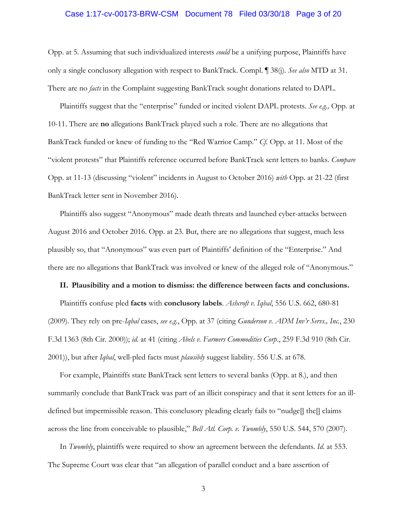### Case 1:17-cv-00173-BRW-CSM Document 78 Filed 03/30/18 Page 3 of 20

Opp. at 5. Assuming that such individualized interests *could* be a unifying purpose, Plaintiffs have only a single conclusory allegation with respect to BankTrack. Compl. ¶ 38(j). *See also* MTD at 31. There are no *facts* in the Complaint suggesting BankTrack sought donations related to DAPL.

Plaintiffs suggest that the "enterprise" funded or incited violent DAPL protests. *See e.g.,* Opp. at 10-11. There are **no** allegations BankTrack played such a role. There are no allegations that BankTrack funded or knew of funding to the "Red Warrior Camp." *Cf.* Opp. at 11. Most of the "violent protests" that Plaintiffs reference occurred before BankTrack sent letters to banks. *Compare*  Opp. at 11-13 (discussing "violent" incidents in August to October 2016) *with* Opp. at 21-22 (first BankTrack letter sent in November 2016).

Plaintiffs also suggest "Anonymous" made death threats and launched cyber-attacks between August 2016 and October 2016. Opp. at 23. But, there are no allegations that suggest, much less plausibly so, that "Anonymous" was even part of Plaintiffs' definition of the "Enterprise." And there are no allegations that BankTrack was involved or knew of the alleged role of "Anonymous."

#### **II. Plausibility and a motion to dismiss: the difference between facts and conclusions.**

Plaintiffs confuse pled **facts** with **conclusory labels**. *Ashcroft v. Iqbal*, 556 U.S. 662, 680-81 (2009). They rely on pre-*Iqbal* cases, *see e.g.*, Opp. at 37 (citing *Gunderson v. ADM Inv'r Servs., Inc.*, 230 F.3d 1363 (8th Cir. 2000)); *id.* at 41 (citing *Abels v. Farmers Commodities Corp.*, 259 F.3d 910 (8th Cir. 2001)), but after *Iqbal*, well-pled facts must *plausibly* suggest liability. 556 U.S. at 678.

For example, Plaintiffs state BankTrack sent letters to several banks (Opp. at 8.), and then summarily conclude that BankTrack was part of an illicit conspiracy and that it sent letters for an illdefined but impermissible reason. This conclusory pleading clearly fails to "nudge[] the[] claims across the line from conceivable to plausible," *Bell Atl. Corp. v. Twombly*, 550 U.S. 544, 570 (2007).

In *Twombly*, plaintiffs were required to show an agreement between the defendants. *Id.* at 553. The Supreme Court was clear that "an allegation of parallel conduct and a bare assertion of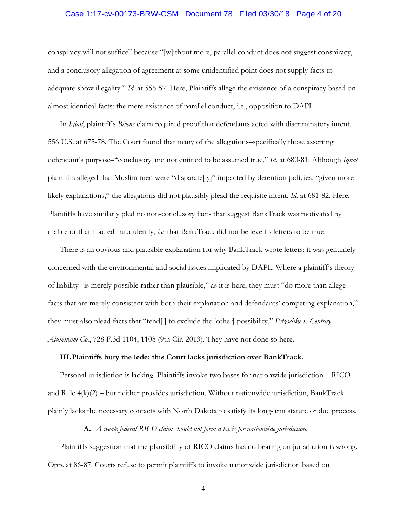### Case 1:17-cv-00173-BRW-CSM Document 78 Filed 03/30/18 Page 4 of 20

conspiracy will not suffice" because "[w]ithout more, parallel conduct does not suggest conspiracy, and a conclusory allegation of agreement at some unidentified point does not supply facts to adequate show illegality." *Id.* at 556-57. Here, Plaintiffs allege the existence of a conspiracy based on almost identical facts: the mere existence of parallel conduct, i.e., opposition to DAPL.

In *Iqbal*, plaintiff's *Bivens* claim required proof that defendants acted with discriminatory intent. 556 U.S. at 675-78. The Court found that many of the allegations–specifically those asserting defendant's purpose–"conclusory and not entitled to be assumed true." *Id.* at 680-81. Although *Iqbal* plaintiffs alleged that Muslim men were "disparate[ly]" impacted by detention policies, "given more likely explanations," the allegations did not plausibly plead the requisite intent. *Id.* at 681-82. Here, Plaintiffs have similarly pled no non-conclusory facts that suggest BankTrack was motivated by malice or that it acted fraudulently, *i.e.* that BankTrack did not believe its letters to be true.

There is an obvious and plausible explanation for why BankTrack wrote letters: it was genuinely concerned with the environmental and social issues implicated by DAPL. Where a plaintiff's theory of liability "is merely possible rather than plausible," as it is here, they must "do more than allege facts that are merely consistent with both their explanation and defendants' competing explanation," they must also plead facts that "tend[ ] to exclude the [other] possibility." *Petzschke v. Century Aluminum Co.*, 728 F.3d 1104, 1108 (9th Cir. 2013). They have not done so here.

### **III.Plaintiffs bury the lede: this Court lacks jurisdiction over BankTrack.**

Personal jurisdiction is lacking. Plaintiffs invoke two bases for nationwide jurisdiction – RICO and Rule  $4(k)(2)$  – but neither provides jurisdiction. Without nationwide jurisdiction, BankTrack plainly lacks the necessary contacts with North Dakota to satisfy its long-arm statute or due process.

#### **A.** *A weak federal RICO claim should not form a basis for nationwide jurisdiction.*

Plaintiffs suggestion that the plausibility of RICO claims has no bearing on jurisdiction is wrong. Opp. at 86-87. Courts refuse to permit plaintiffs to invoke nationwide jurisdiction based on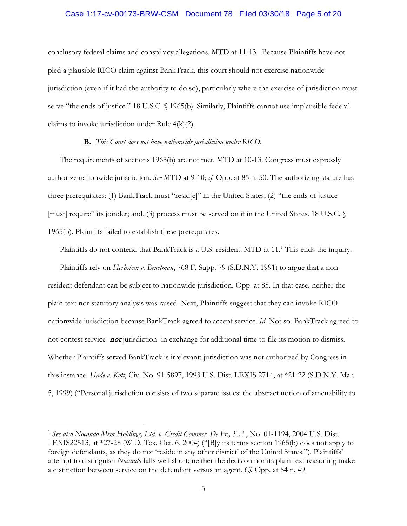### Case 1:17-cv-00173-BRW-CSM Document 78 Filed 03/30/18 Page 5 of 20

conclusory federal claims and conspiracy allegations. MTD at 11-13. Because Plaintiffs have not pled a plausible RICO claim against BankTrack*,* this court should not exercise nationwide jurisdiction (even if it had the authority to do so), particularly where the exercise of jurisdiction must serve "the ends of justice." 18 U.S.C. § 1965(b). Similarly, Plaintiffs cannot use implausible federal claims to invoke jurisdiction under Rule 4(k)(2).

### **B.** *This Court does not have nationwide jurisdiction under RICO*.

The requirements of sections 1965(b) are not met. MTD at 10-13. Congress must expressly authorize nationwide jurisdiction. *See* MTD at 9-10; *cf.* Opp. at 85 n. 50. The authorizing statute has three prerequisites: (1) BankTrack must "resid[e]" in the United States; (2) "the ends of justice [must] require" its joinder; and, (3) process must be served on it in the United States. 18 U.S.C. § 1965(b). Plaintiffs failed to establish these prerequisites.

Plaintiffs do not contend that BankTrack is a U.S. resident. MTD at [1](#page-4-0)1.<sup>1</sup> This ends the inquiry.

Plaintiffs rely on *Herbstein v. Bruetman*, 768 F. Supp. 79 (S.D.N.Y. 1991) to argue that a nonresident defendant can be subject to nationwide jurisdiction. Opp. at 85. In that case, neither the plain text nor statutory analysis was raised. Next, Plaintiffs suggest that they can invoke RICO nationwide jurisdiction because BankTrack agreed to accept service. *Id*. Not so. BankTrack agreed to not contest service–not jurisdiction–in exchange for additional time to file its motion to dismiss. Whether Plaintiffs served BankTrack is irrelevant: jurisdiction was not authorized by Congress in this instance. *Hade v. Kott*, Civ. No. 91-5897, 1993 U.S. Dist. LEXIS 2714, at \*21-22 (S.D.N.Y. Mar. 5, 1999) ("Personal jurisdiction consists of two separate issues: the abstract notion of amenability to

<span id="page-4-0"></span><sup>&</sup>lt;sup>1</sup> See also Nocando Mem Holdings, Ltd. v. Credit Commer. De Fr., S.A., No. 01-1194, 2004 U.S. Dist. LEXIS22513, at \*27-28 (W.D. Tex. Oct. 6, 2004) ("[B]y its terms section 1965(b) does not apply to foreign defendants, as they do not 'reside in any other district' of the United States."). Plaintiffs' attempt to distinguish *Nocando* falls well short; neither the decision nor its plain text reasoning make a distinction between service on the defendant versus an agent. *Cf.* Opp. at 84 n. 49.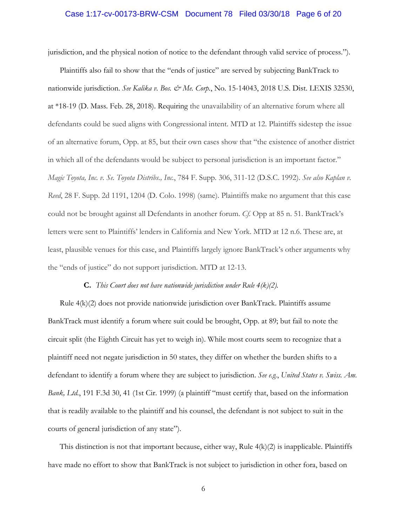### Case 1:17-cv-00173-BRW-CSM Document 78 Filed 03/30/18 Page 6 of 20

jurisdiction, and the physical notion of notice to the defendant through valid service of process.").

Plaintiffs also fail to show that the "ends of justice" are served by subjecting BankTrack to nationwide jurisdiction. *See Kalika v. Bos. & Me. Corp.*, No. 15-14043, 2018 U.S. Dist. LEXIS 32530, at \*18-19 (D. Mass. Feb. 28, 2018). Requiring the unavailability of an alternative forum where all defendants could be sued aligns with Congressional intent. MTD at 12. Plaintiffs sidestep the issue of an alternative forum, Opp. at 85, but their own cases show that "the existence of another district in which all of the defendants would be subject to personal jurisdiction is an important factor." *Magic Toyota, Inc. v. Se. Toyota Distribs., Inc.*, 784 F. Supp. 306, 311-12 (D.S.C. 1992). *See also Kaplan v. Reed*, 28 F. Supp. 2d 1191, 1204 (D. Colo. 1998) (same). Plaintiffs make no argument that this case could not be brought against all Defendants in another forum. *Cf.* Opp at 85 n. 51. BankTrack's letters were sent to Plaintiffs' lenders in California and New York. MTD at 12 n.6. These are, at least, plausible venues for this case, and Plaintiffs largely ignore BankTrack's other arguments why the "ends of justice" do not support jurisdiction. MTD at 12-13.

## **C.** *This Court does not have nationwide jurisdiction under Rule 4(k)(2).*

Rule 4(k)(2) does not provide nationwide jurisdiction over BankTrack. Plaintiffs assume BankTrack must identify a forum where suit could be brought, Opp. at 89; but fail to note the circuit split (the Eighth Circuit has yet to weigh in). While most courts seem to recognize that a plaintiff need not negate jurisdiction in 50 states, they differ on whether the burden shifts to a defendant to identify a forum where they are subject to jurisdiction. *See e.g.*, *United States v. Swiss. Am. Bank, Ltd.*, 191 F.3d 30, 41 (1st Cir. 1999) (a plaintiff "must certify that, based on the information that is readily available to the plaintiff and his counsel, the defendant is not subject to suit in the courts of general jurisdiction of any state").

This distinction is not that important because, either way, Rule 4(k)(2) is inapplicable. Plaintiffs have made no effort to show that BankTrack is not subject to jurisdiction in other fora, based on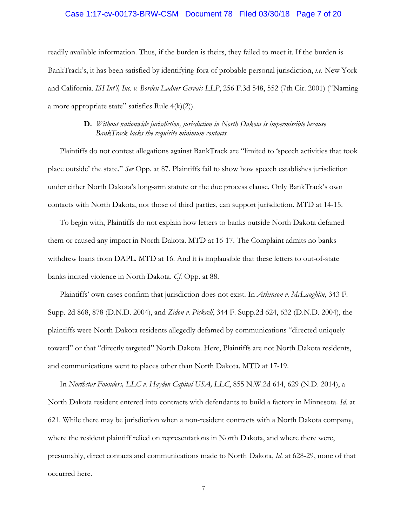### Case 1:17-cv-00173-BRW-CSM Document 78 Filed 03/30/18 Page 7 of 20

readily available information. Thus, if the burden is theirs, they failed to meet it. If the burden is BankTrack's, it has been satisfied by identifying fora of probable personal jurisdiction, *i.e.* New York and California. *ISI Int'l, Inc. v. Borden Ladner Gervais LLP*, 256 F.3d 548, 552 (7th Cir. 2001) ("Naming a more appropriate state" satisfies Rule  $4(k)(2)$ ).

## **D.** *Without nationwide jurisdiction, jurisdiction in North Dakota is impermissible because BankTrack lacks the requisite minimum contacts.*

Plaintiffs do not contest allegations against BankTrack are "limited to 'speech activities that took place outside' the state." *See* Opp. at 87. Plaintiffs fail to show how speech establishes jurisdiction under either North Dakota's long-arm statute or the due process clause. Only BankTrack's own contacts with North Dakota, not those of third parties, can support jurisdiction. MTD at 14-15.

To begin with, Plaintiffs do not explain how letters to banks outside North Dakota defamed them or caused any impact in North Dakota. MTD at 16-17. The Complaint admits no banks withdrew loans from DAPL. MTD at 16. And it is implausible that these letters to out-of-state banks incited violence in North Dakota. *Cf.* Opp. at 88.

Plaintiffs' own cases confirm that jurisdiction does not exist. In *Atkinson v. McLaughlin*, 343 F. Supp. 2d 868, 878 (D.N.D. 2004), and *Zidon v. Pickrell*, 344 F. Supp.2d 624, 632 (D.N.D. 2004), the plaintiffs were North Dakota residents allegedly defamed by communications "directed uniquely toward" or that "directly targeted" North Dakota. Here, Plaintiffs are not North Dakota residents, and communications went to places other than North Dakota. MTD at 17-19.

In *Northstar Founders, LLC v. Hayden Capital USA, LLC*, 855 N.W.2d 614, 629 (N.D. 2014), a North Dakota resident entered into contracts with defendants to build a factory in Minnesota. *Id.* at 621. While there may be jurisdiction when a non-resident contracts with a North Dakota company, where the resident plaintiff relied on representations in North Dakota, and where there were, presumably, direct contacts and communications made to North Dakota, *Id.* at 628-29, none of that occurred here.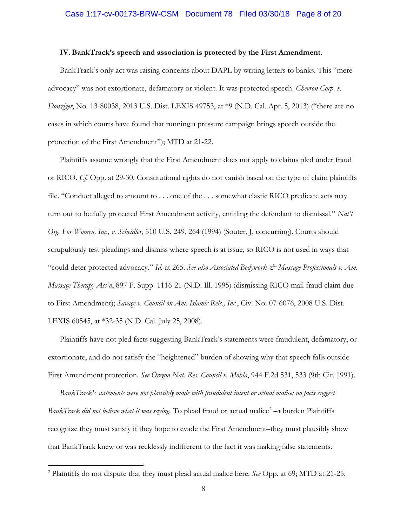### Case 1:17-cv-00173-BRW-CSM Document 78 Filed 03/30/18 Page 8 of 20

### **IV. BankTrack's speech and association is protected by the First Amendment.**

BankTrack's only act was raising concerns about DAPL by writing letters to banks. This "mere advocacy" was not extortionate, defamatory or violent. It was protected speech. *Chevron Corp. v. Donziger*, No. 13-80038, 2013 U.S. Dist. LEXIS 49753, at \*9 (N.D. Cal. Apr. 5, 2013) ("there are no cases in which courts have found that running a pressure campaign brings speech outside the protection of the First Amendment"); MTD at 21-22.

Plaintiffs assume wrongly that the First Amendment does not apply to claims pled under fraud or RICO. *Cf.* Opp. at 29-30. Constitutional rights do not vanish based on the type of claim plaintiffs file. "Conduct alleged to amount to . . . one of the . . . somewhat elastic RICO predicate acts may turn out to be fully protected First Amendment activity, entitling the defendant to dismissal." *Nat'l Org. For Women, Inc., v. Scheidler*, 510 U.S. 249, 264 (1994) (Souter, J. concurring). Courts should scrupulously test pleadings and dismiss where speech is at issue, so RICO is not used in ways that "could deter protected advocacy." *Id.* at 265. See also Associated Bodywork & Massage Professionals v. Am. *Massage Therapy Ass'n*, 897 F. Supp. 1116-21 (N.D. Ill. 1995) (dismissing RICO mail fraud claim due to First Amendment); *Savage v. Council on Am.-Islamic Rels., Inc.*, Civ. No. 07-6076, 2008 U.S. Dist. LEXIS 60545, at \*32-35 (N.D. Cal. July 25, 2008).

Plaintiffs have not pled facts suggesting BankTrack's statements were fraudulent, defamatory, or extortionate, and do not satisfy the "heightened" burden of showing why that speech falls outside First Amendment protection. *See Oregon Nat. Res. Council v. Mohla*, 944 F.2d 531, 533 (9th Cir. 1991).

*BankTrack's statements were not plausibly made with fraudulent intent or actual malice; no facts suggest BankTrack did not believe what it was saying*. To plead fraud or actual malice<sup>[2](#page-7-0)</sup> –a burden Plaintiffs recognize they must satisfy if they hope to evade the First Amendment–they must plausibly show that BankTrack knew or was recklessly indifferent to the fact it was making false statements.

<span id="page-7-0"></span><sup>2</sup> Plaintiffs do not dispute that they must plead actual malice here. *See* Opp. at 69; MTD at 21-25.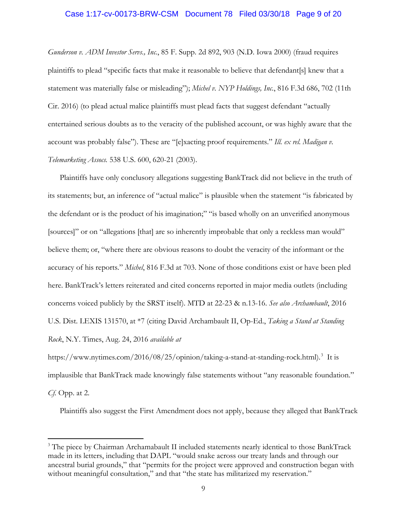### Case 1:17-cv-00173-BRW-CSM Document 78 Filed 03/30/18 Page 9 of 20

*Gunderson v. ADM Investor Servs., Inc.*, 85 F. Supp. 2d 892, 903 (N.D. Iowa 2000) (fraud requires plaintiffs to plead "specific facts that make it reasonable to believe that defendant[s] knew that a statement was materially false or misleading"); *Michel v. NYP Holdings, Inc.*, 816 F.3d 686, 702 (11th Cir. 2016) (to plead actual malice plaintiffs must plead facts that suggest defendant "actually entertained serious doubts as to the veracity of the published account, or was highly aware that the account was probably false"). These are "[e]xacting proof requirements." *Ill. ex rel. Madigan v. Telemarketing Assocs.* 538 U.S. 600, 620-21 (2003).

Plaintiffs have only conclusory allegations suggesting BankTrack did not believe in the truth of its statements; but, an inference of "actual malice" is plausible when the statement "is fabricated by the defendant or is the product of his imagination;" "is based wholly on an unverified anonymous [sources]" or on "allegations [that] are so inherently improbable that only a reckless man would" believe them; or, "where there are obvious reasons to doubt the veracity of the informant or the accuracy of his reports." *Michel*, 816 F.3d at 703. None of those conditions exist or have been pled here. BankTrack's letters reiterated and cited concerns reported in major media outlets (including concerns voiced publicly by the SRST itself). MTD at 22-23 & n.13-16. *See also Archambault*, 2016 U.S. Dist. LEXIS 131570, at \*7 (citing David Archambault II, Op-Ed., *Taking a Stand at Standing Rock*, N.Y. Times, Aug. 24, 2016 *available at* 

https://www.nytimes.com/2016/08/25/opinion/taking-a-stand-at-standing-rock.html). [3](#page-8-0) It is implausible that BankTrack made knowingly false statements without "any reasonable foundation." *Cf.* Opp. at 2.

Plaintiffs also suggest the First Amendment does not apply, because they alleged that BankTrack

 $\overline{a}$ 

<span id="page-8-0"></span><sup>&</sup>lt;sup>3</sup> The piece by Chairman Archamabault II included statements nearly identical to those BankTrack made in its letters, including that DAPL "would snake across our treaty lands and through our ancestral burial grounds," that "permits for the project were approved and construction began with without meaningful consultation," and that "the state has militarized my reservation."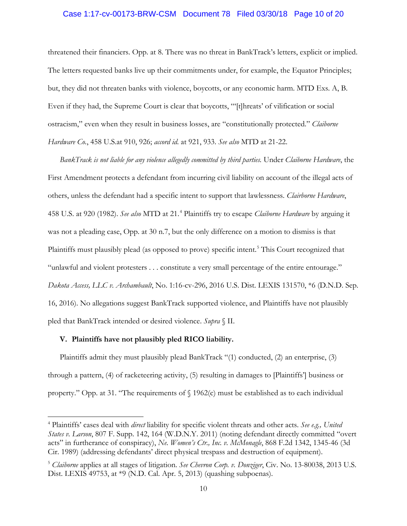## Case 1:17-cv-00173-BRW-CSM Document 78 Filed 03/30/18 Page 10 of 20

threatened their financiers. Opp. at 8. There was no threat in BankTrack's letters, explicit or implied. The letters requested banks live up their commitments under, for example, the Equator Principles; but, they did not threaten banks with violence, boycotts, or any economic harm. MTD Exs. A, B. Even if they had, the Supreme Court is clear that boycotts, "'[t]hreats' of vilification or social ostracism," even when they result in business losses, are "constitutionally protected." *Claiborne Hardware Co.*, 458 U.S.at 910, 926; *accord id.* at 921, 933. *See also* MTD at 21-22.

*BankTrack is not liable for any violence allegedly committed by third parties.* Under *Claiborne Hardware*, the First Amendment protects a defendant from incurring civil liability on account of the illegal acts of others, unless the defendant had a specific intent to support that lawlessness. *Clairborne Hardware*, 458 U.S. at 920 (1982). *See also* MTD at 21.[4](#page-9-0) Plaintiffs try to escape *Claiborne Hardware* by arguing it was not a pleading case, Opp. at 30 n.7, but the only difference on a motion to dismiss is that Plaintiffs must plausibly plead (as opposed to prove) specific intent.<sup>[5](#page-9-1)</sup> This Court recognized that "unlawful and violent protesters . . . constitute a very small percentage of the entire entourage." *Dakota Access, LLC v. Archambault*, No. 1:16-cv-296, 2016 U.S. Dist. LEXIS 131570, \*6 (D.N.D. Sep. 16, 2016). No allegations suggest BankTrack supported violence, and Plaintiffs have not plausibly pled that BankTrack intended or desired violence. *Supra* § II.

## **V. Plaintiffs have not plausibly pled RICO liability.**

 $\overline{a}$ 

Plaintiffs admit they must plausibly plead BankTrack "(1) conducted, (2) an enterprise, (3) through a pattern, (4) of racketeering activity, (5) resulting in damages to [Plaintiffs'] business or property." Opp. at 31. "The requirements of § 1962(c) must be established as to each individual

<span id="page-9-0"></span><sup>4</sup> Plaintiffs' cases deal with *direct* liability for specific violent threats and other acts. *See e.g., United States v. Larson*, 807 F. Supp. 142, 164 (W.D.N.Y. 2011) (noting defendant directly committed "overt acts" in furtherance of conspiracy), *Ne. Women's Ctr., Inc. v. McMonagle*, 868 F.2d 1342, 1345-46 (3d Cir. 1989) (addressing defendants' direct physical trespass and destruction of equipment).

<span id="page-9-1"></span><sup>5</sup> *Claiborne* applies at all stages of litigation. *See Chevron Corp. v. Donziger*, Civ. No. 13-80038, 2013 U.S. Dist. LEXIS 49753, at \*9 (N.D. Cal. Apr. 5, 2013) (quashing subpoenas).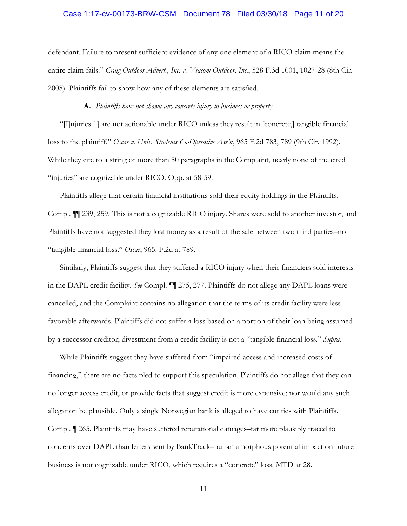### Case 1:17-cv-00173-BRW-CSM Document 78 Filed 03/30/18 Page 11 of 20

defendant. Failure to present sufficient evidence of any one element of a RICO claim means the entire claim fails." *Craig Outdoor Advert., Inc. v. Viacom Outdoor, Inc.*, 528 F.3d 1001, 1027-28 (8th Cir. 2008). Plaintiffs fail to show how any of these elements are satisfied.

**A.** *Plaintiffs have not shown any concrete injury to business or property.*

"[I]njuries [ ] are not actionable under RICO unless they result in [concrete,] tangible financial loss to the plaintiff." *Oscar v. Univ. Students Co-Operative Ass'n*, 965 F.2d 783, 789 (9th Cir. 1992). While they cite to a string of more than 50 paragraphs in the Complaint, nearly none of the cited "injuries" are cognizable under RICO. Opp. at 58-59.

Plaintiffs allege that certain financial institutions sold their equity holdings in the Plaintiffs. Compl. ¶¶ 239, 259. This is not a cognizable RICO injury. Shares were sold to another investor, and Plaintiffs have not suggested they lost money as a result of the sale between two third parties–no "tangible financial loss." *Oscar*, 965. F.2d at 789.

Similarly, Plaintiffs suggest that they suffered a RICO injury when their financiers sold interests in the DAPL credit facility. *See* Compl. ¶¶ 275, 277. Plaintiffs do not allege any DAPL loans were cancelled, and the Complaint contains no allegation that the terms of its credit facility were less favorable afterwards. Plaintiffs did not suffer a loss based on a portion of their loan being assumed by a successor creditor; divestment from a credit facility is not a "tangible financial loss." *Supra.*

While Plaintiffs suggest they have suffered from "impaired access and increased costs of financing," there are no facts pled to support this speculation. Plaintiffs do not allege that they can no longer access credit, or provide facts that suggest credit is more expensive; nor would any such allegation be plausible. Only a single Norwegian bank is alleged to have cut ties with Plaintiffs. Compl. ¶ 265. Plaintiffs may have suffered reputational damages–far more plausibly traced to concerns over DAPL than letters sent by BankTrack–but an amorphous potential impact on future business is not cognizable under RICO, which requires a "concrete" loss. MTD at 28.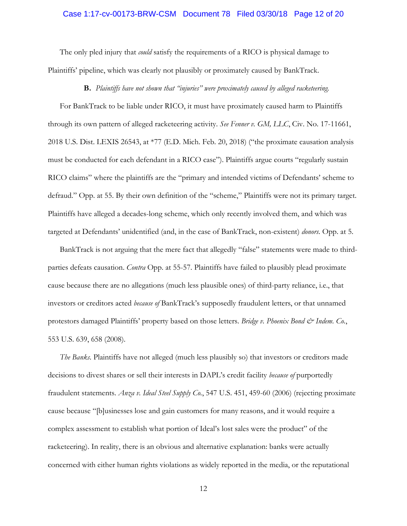### Case 1:17-cv-00173-BRW-CSM Document 78 Filed 03/30/18 Page 12 of 20

The only pled injury that *could* satisfy the requirements of a RICO is physical damage to Plaintiffs' pipeline, which was clearly not plausibly or proximately caused by BankTrack.

### **B.** *Plaintiffs have not shown that "injuries" were proximately caused by alleged racketeering.*

For BankTrack to be liable under RICO, it must have proximately caused harm to Plaintiffs through its own pattern of alleged racketeering activity. *See Fenner v. GM, LLC*, Civ. No. 17-11661, 2018 U.S. Dist. LEXIS 26543, at \*77 (E.D. Mich. Feb. 20, 2018) ("the proximate causation analysis must be conducted for each defendant in a RICO case"). Plaintiffs argue courts "regularly sustain RICO claims" where the plaintiffs are the "primary and intended victims of Defendants' scheme to defraud." Opp. at 55. By their own definition of the "scheme," Plaintiffs were not its primary target. Plaintiffs have alleged a decades-long scheme, which only recently involved them, and which was targeted at Defendants' unidentified (and, in the case of BankTrack, non-existent) *donors*. Opp. at 5.

BankTrack is not arguing that the mere fact that allegedly "false" statements were made to thirdparties defeats causation. *Contra* Opp. at 55-57. Plaintiffs have failed to plausibly plead proximate cause because there are no allegations (much less plausible ones) of third-party reliance, i.e., that investors or creditors acted *because of* BankTrack's supposedly fraudulent letters, or that unnamed protestors damaged Plaintiffs' property based on those letters. *Bridge v. Phoenix Bond & Indem. Co.*, 553 U.S. 639, 658 (2008).

*The Banks*. Plaintiffs have not alleged (much less plausibly so) that investors or creditors made decisions to divest shares or sell their interests in DAPL's credit facility *because of* purportedly fraudulent statements. *Anza v. Ideal Steel Supply Co.*, 547 U.S. 451, 459-60 (2006) (rejecting proximate cause because "[b]usinesses lose and gain customers for many reasons, and it would require a complex assessment to establish what portion of Ideal's lost sales were the product" of the racketeering). In reality, there is an obvious and alternative explanation: banks were actually concerned with either human rights violations as widely reported in the media, or the reputational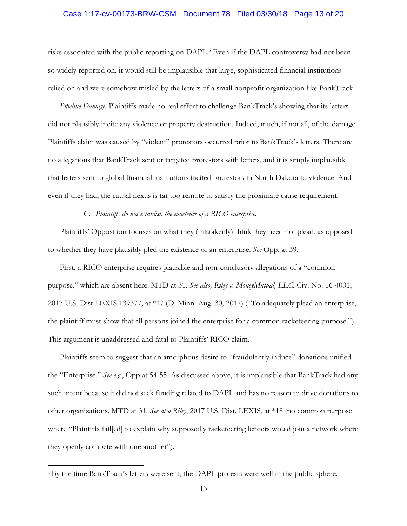### Case 1:17-cv-00173-BRW-CSM Document 78 Filed 03/30/18 Page 13 of 20

risks associated with the public reporting on DAPL. [6](#page-12-0) Even if the DAPL controversy had not been so widely reported on, it would still be implausible that large, sophisticated financial institutions relied on and were somehow misled by the letters of a small nonprofit organization like BankTrack.

*Pipeline Damage.* Plaintiffs made no real effort to challenge BankTrack's showing that its letters did not plausibly incite any violence or property destruction. Indeed, much, if not all, of the damage Plaintiffs claim was caused by "violent" protestors occurred prior to BankTrack's letters. There are no allegations that BankTrack sent or targeted protestors with letters, and it is simply implausible that letters sent to global financial institutions incited protestors in North Dakota to violence. And even if they had, the causal nexus is far too remote to satisfy the proximate cause requirement.

### C. *Plaintiffs do not establish the existence of a RICO enterprise.*

Plaintiffs' Opposition focuses on what they (mistakenly) think they need not plead, as opposed to whether they have plausibly pled the existence of an enterprise. *See* Opp. at 39.

First, a RICO enterprise requires plausible and non-conclusory allegations of a "common purpose," which are absent here. MTD at 31. *See also, Riley v. MoneyMutual, LLC*, Civ. No. 16-4001, 2017 U.S. Dist LEXIS 139377, at \*17 (D. Minn. Aug. 30, 2017) ("To adequately plead an enterprise, the plaintiff must show that all persons joined the enterprise for a common racketeering purpose."). This argument is unaddressed and fatal to Plaintiffs' RICO claim.

Plaintiffs seem to suggest that an amorphous desire to "fraudulently induce" donations unified the "Enterprise." *See e.g.*, Opp at 54-55. As discussed above, it is implausible that BankTrack had any such intent because it did not seek funding related to DAPL and has no reason to drive donations to other organizations. MTD at 31. *See also Riley*, 2017 U.S. Dist. LEXIS, at \*18 (no common purpose where "Plaintiffs fail[ed] to explain why supposedly racketeering lenders would join a network where they openly compete with one another").

<span id="page-12-0"></span><sup>6</sup> By the time BankTrack's letters were sent, the DAPL protests were well in the public sphere.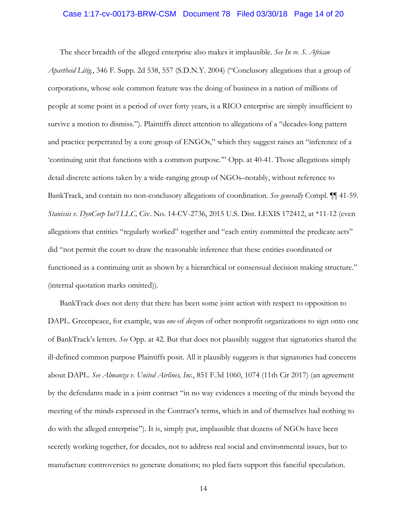### Case 1:17-cv-00173-BRW-CSM Document 78 Filed 03/30/18 Page 14 of 20

The sheer breadth of the alleged enterprise also makes it implausible. *See In re. S. African Apartheid Litig.*, 346 F. Supp. 2d 538, 557 (S.D.N.Y. 2004) ("Conclusory allegations that a group of corporations, whose sole common feature was the doing of business in a nation of millions of people at some point in a period of over forty years, is a RICO enterprise are simply insufficient to survive a motion to dismiss."). Plaintiffs direct attention to allegations of a "decades-long pattern and practice perpetrated by a core group of ENGOs," which they suggest raises an "inference of a 'continuing unit that functions with a common purpose.'" Opp. at 40-41. Those allegations simply detail discrete actions taken by a wide-ranging group of NGOs–notably, without reference to BankTrack, and contain no non-conclusory allegations of coordination. *See generally* Compl. ¶¶ 41-59. *Stanissis v. DynCorp Int'l LLC,* Civ. No. 14-CV-2736, 2015 U.S. Dist. LEXIS 172412, at \*11-12 (even allegations that entities "regularly worked" together and "each entity committed the predicate acts" did "not permit the court to draw the reasonable inference that these entities coordinated or functioned as a continuing unit as shown by a hierarchical or consensual decision making structure." (internal quotation marks omitted)).

BankTrack does not deny that there has been some joint action with respect to opposition to DAPL. Greenpeace, for example, was *one* of *dozen*s of other nonprofit organizations to sign onto one of BankTrack's letters. *See* Opp. at 42. But that does not plausibly suggest that signatories shared the ill-defined common purpose Plaintiffs posit. All it plausibly suggests is that signatories had concerns about DAPL. *See Almanza v. United Airlines, Inc.*, 851 F.3d 1060, 1074 (11th Cir 2017) (an agreement by the defendants made in a joint contract "in no way evidences a meeting of the minds beyond the meeting of the minds expressed in the Contract's terms, which in and of themselves had nothing to do with the alleged enterprise"). It is, simply put, implausible that dozens of NGOs have been secretly working together, for decades, not to address real social and environmental issues, but to manufacture controversies to generate donations; no pled facts support this fanciful speculation.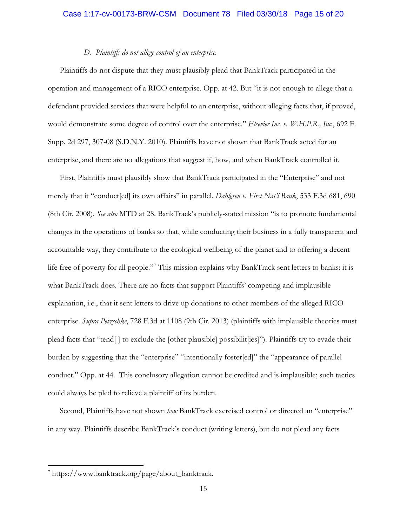### Case 1:17-cv-00173-BRW-CSM Document 78 Filed 03/30/18 Page 15 of 20

## *D. Plaintiffs do not allege control of an enterprise.*

Plaintiffs do not dispute that they must plausibly plead that BankTrack participated in the operation and management of a RICO enterprise. Opp. at 42. But "it is not enough to allege that a defendant provided services that were helpful to an enterprise, without alleging facts that, if proved, would demonstrate some degree of control over the enterprise." *Elsevier Inc. v. W.H.P.R., Inc.*, 692 F. Supp. 2d 297, 307-08 (S.D.N.Y. 2010). Plaintiffs have not shown that BankTrack acted for an enterprise, and there are no allegations that suggest if, how, and when BankTrack controlled it.

First, Plaintiffs must plausibly show that BankTrack participated in the "Enterprise" and not merely that it "conduct[ed] its own affairs" in parallel. *Dahlgren v. First Nat'l Bank*, 533 F.3d 681, 690 (8th Cir. 2008). *See also* MTD at 28. BankTrack's publicly-stated mission "is to promote fundamental changes in the operations of banks so that, while conducting their business in a fully transparent and accountable way, they contribute to the ecological wellbeing of the planet and to offering a decent life free of poverty for all people."<sup>[7](#page-14-0)</sup> This mission explains why BankTrack sent letters to banks: it is what BankTrack does. There are no facts that support Plaintiffs' competing and implausible explanation, i.e., that it sent letters to drive up donations to other members of the alleged RICO enterprise. *Supra Petzschke*, 728 F.3d at 1108 (9th Cir. 2013) (plaintiffs with implausible theories must plead facts that "tend[ ] to exclude the [other plausible] possibilit[ies]"). Plaintiffs try to evade their burden by suggesting that the "enterprise" "intentionally foster[ed]" the "appearance of parallel conduct." Opp. at 44. This conclusory allegation cannot be credited and is implausible; such tactics could always be pled to relieve a plaintiff of its burden.

Second, Plaintiffs have not shown *how* BankTrack exercised control or directed an "enterprise" in any way. Plaintiffs describe BankTrack's conduct (writing letters), but do not plead any facts

<span id="page-14-0"></span><sup>7</sup> https://www.banktrack.org/page/about\_banktrack.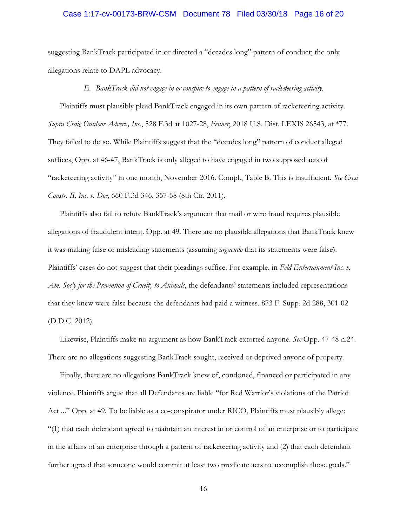### Case 1:17-cv-00173-BRW-CSM Document 78 Filed 03/30/18 Page 16 of 20

suggesting BankTrack participated in or directed a "decades long" pattern of conduct; the only allegations relate to DAPL advocacy.

## *E. BankTrack did not engage in or conspire to engage in a pattern of racketeering activity.*

Plaintiffs must plausibly plead BankTrack engaged in its own pattern of racketeering activity. *Supra Craig Outdoor Advert., Inc.*, 528 F.3d at 1027-28, *Fenner*, 2018 U.S. Dist. LEXIS 26543, at \*77. They failed to do so. While Plaintiffs suggest that the "decades long" pattern of conduct alleged suffices, Opp. at 46-47, BankTrack is only alleged to have engaged in two supposed acts of "racketeering activity" in one month, November 2016. Compl., Table B. This is insufficient. *See Crest Constr. II, Inc. v. Doe*, 660 F.3d 346, 357-58 (8th Cir. 2011).

Plaintiffs also fail to refute BankTrack's argument that mail or wire fraud requires plausible allegations of fraudulent intent. Opp. at 49. There are no plausible allegations that BankTrack knew it was making false or misleading statements (assuming *arguendo* that its statements were false). Plaintiffs' cases do not suggest that their pleadings suffice. For example, in *Feld Entertainment Inc. v. Am. Soc'y for the Prevention of Cruelty to Animals*, the defendants' statements included representations that they knew were false because the defendants had paid a witness. 873 F. Supp. 2d 288, 301-02 (D.D.C. 2012).

Likewise, Plaintiffs make no argument as how BankTrack extorted anyone. *See* Opp. 47-48 n.24. There are no allegations suggesting BankTrack sought, received or deprived anyone of property.

Finally, there are no allegations BankTrack knew of, condoned, financed or participated in any violence. Plaintiffs argue that all Defendants are liable "for Red Warrior's violations of the Patriot Act ..." Opp. at 49. To be liable as a co-conspirator under RICO, Plaintiffs must plausibly allege: "(1) that each defendant agreed to maintain an interest in or control of an enterprise or to participate in the affairs of an enterprise through a pattern of racketeering activity and (2) that each defendant further agreed that someone would commit at least two predicate acts to accomplish those goals."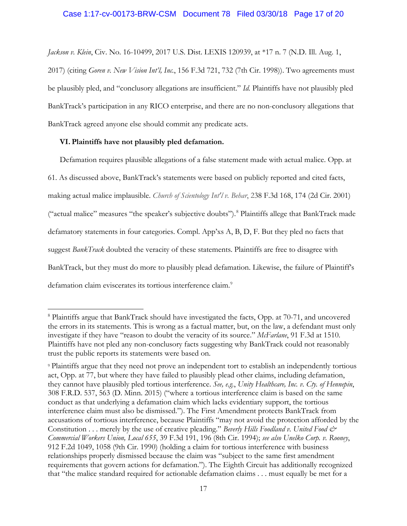*Jackson v. Klein*, Civ. No. 16-10499, 2017 U.S. Dist. LEXIS 120939, at \*17 n. 7 (N.D. Ill. Aug. 1,

2017) (citing *Goren v. New Vision Int'l, Inc.*, 156 F.3d 721, 732 (7th Cir. 1998)). Two agreements must be plausibly pled, and "conclusory allegations are insufficient." *Id.* Plaintiffs have not plausibly pled BankTrack's participation in any RICO enterprise, and there are no non-conclusory allegations that BankTrack agreed anyone else should commit any predicate acts.

## **VI. Plaintiffs have not plausibly pled defamation.**

 $\overline{a}$ 

Defamation requires plausible allegations of a false statement made with actual malice. Opp. at 61. As discussed above, BankTrack's statements were based on publicly reported and cited facts, making actual malice implausible. *Church of Scientology Int'l v. Behar*, 238 F.3d 168, 174 (2d Cir. 2001) ("actual malice" measures "the speaker's subjective doubts").[8](#page-16-0) Plaintiffs allege that BankTrack made defamatory statements in four categories. Compl. App'xs A, B, D, F. But they pled no facts that suggest *BankTrack* doubted the veracity of these statements. Plaintiffs are free to disagree with BankTrack, but they must do more to plausibly plead defamation. Likewise, the failure of Plaintiff's defamation claim eviscerates its tortious interference claim.<sup>[9](#page-16-1)</sup>

<span id="page-16-0"></span><sup>8</sup> Plaintiffs argue that BankTrack should have investigated the facts, Opp. at 70-71, and uncovered the errors in its statements. This is wrong as a factual matter, but, on the law, a defendant must only investigate if they have "reason to doubt the veracity of its source." *McFarlane*, 91 F.3d at 1510. Plaintiffs have not pled any non-conclusory facts suggesting why BankTrack could not reasonably trust the public reports its statements were based on.

<span id="page-16-1"></span><sup>9</sup> Plaintiffs argue that they need not prove an independent tort to establish an independently tortious act, Opp. at 77, but where they have failed to plausibly plead other claims, including defamation, they cannot have plausibly pled tortious interference. *See, e.g.*, *Unity Healthcare, Inc. v. Cty. of Hennepin*, 308 F.R.D. 537, 563 (D. Minn. 2015) ("where a tortious interference claim is based on the same conduct as that underlying a defamation claim which lacks evidentiary support, the tortious interference claim must also be dismissed."). The First Amendment protects BankTrack from accusations of tortious interference, because Plaintiffs "may not avoid the protection afforded by the Constitution . . . merely by the use of creative pleading." *Beverly Hills Foodland v. United Food & Commercial Workers Union, Local 655*, 39 F.3d 191, 196 (8th Cir. 1994); *see also Unelko Corp. v. Rooney*, 912 F.2d 1049, 1058 (9th Cir. 1990) (holding a claim for tortious interference with business relationships properly dismissed because the claim was "subject to the same first amendment requirements that govern actions for defamation."). The Eighth Circuit has additionally recognized that "the malice standard required for actionable defamation claims . . . must equally be met for a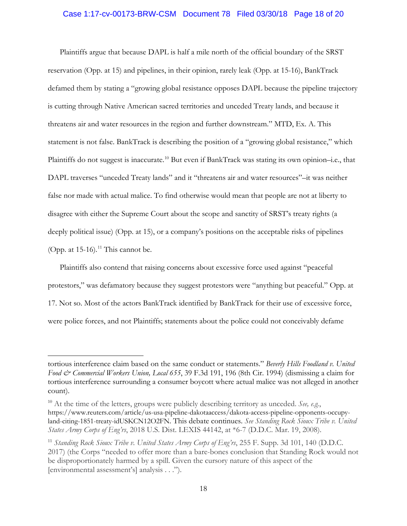## Case 1:17-cv-00173-BRW-CSM Document 78 Filed 03/30/18 Page 18 of 20

Plaintiffs argue that because DAPL is half a mile north of the official boundary of the SRST reservation (Opp. at 15) and pipelines, in their opinion, rarely leak (Opp. at 15-16), BankTrack defamed them by stating a "growing global resistance opposes DAPL because the pipeline trajectory is cutting through Native American sacred territories and unceded Treaty lands, and because it threatens air and water resources in the region and further downstream." MTD, Ex. A. This statement is not false. BankTrack is describing the position of a "growing global resistance," which Plaintiffs do not suggest is inaccurate.<sup>[10](#page-17-0)</sup> But even if BankTrack was stating its own opinion-i.e., that DAPL traverses "unceded Treaty lands" and it "threatens air and water resources"–it was neither false nor made with actual malice. To find otherwise would mean that people are not at liberty to disagree with either the Supreme Court about the scope and sanctity of SRST's treaty rights (a deeply political issue) (Opp. at 15), or a company's positions on the acceptable risks of pipelines (Opp. at  $15-16$ ).<sup>[11](#page-17-1)</sup> This cannot be.

Plaintiffs also contend that raising concerns about excessive force used against "peaceful protestors," was defamatory because they suggest protestors were "anything but peaceful." Opp. at 17. Not so. Most of the actors BankTrack identified by BankTrack for their use of excessive force, were police forces, and not Plaintiffs; statements about the police could not conceivably defame

 $\overline{\phantom{a}}$ 

tortious interference claim based on the same conduct or statements." *Beverly Hills Foodland v. United Food & Commercial Workers Union, Local 655*, 39 F.3d 191, 196 (8th Cir. 1994) (dismissing a claim for tortious interference surrounding a consumer boycott where actual malice was not alleged in another count).

<span id="page-17-0"></span><sup>10</sup> At the time of the letters, groups were publicly describing territory as unceded. *See, e.g.*, https://www.reuters.com/article/us-usa-pipeline-dakotaaccess/dakota-access-pipeline-opponents-occupyland-citing-1851-treaty-idUSKCN12O2FN. This debate continues. *See Standing Rock Sioux Tribe v. United States Army Corps of Eng'rs*, 2018 U.S. Dist. LEXIS 44142, at \*6-7 (D.D.C. Mar. 19, 2008).

<span id="page-17-1"></span><sup>11</sup> *Standing Rock Sioux Tribe v. United States Army Corps of Eng'rs*, 255 F. Supp. 3d 101, 140 (D.D.C. 2017) (the Corps "needed to offer more than a bare-bones conclusion that Standing Rock would not be disproportionately harmed by a spill. Given the cursory nature of this aspect of the [environmental assessment's] analysis . . .").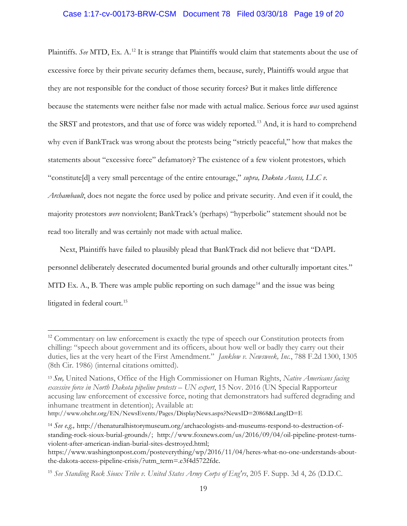Plaintiffs. *See* MTD, Ex. A.<sup>[12](#page-18-0)</sup> It is strange that Plaintiffs would claim that statements about the use of excessive force by their private security defames them, because, surely, Plaintiffs would argue that they are not responsible for the conduct of those security forces? But it makes little difference because the statements were neither false nor made with actual malice. Serious force *was* used against the SRST and protestors, and that use of force was widely reported.<sup>[13](#page-18-1)</sup> And, it is hard to comprehend why even if BankTrack was wrong about the protests being "strictly peaceful," how that makes the statements about "excessive force" defamatory? The existence of a few violent protestors, which "constitute[d] a very small percentage of the entire entourage," *supra, Dakota Access, LLC v. Archambault*, does not negate the force used by police and private security. And even if it could, the majority protestors *were* nonviolent; BankTrack's (perhaps) "hyperbolic" statement should not be read too literally and was certainly not made with actual malice.

Next, Plaintiffs have failed to plausibly plead that BankTrack did not believe that "DAPL personnel deliberately desecrated documented burial grounds and other culturally important cites." MTD Ex. A., B. There was ample public reporting on such damage<sup>[14](#page-18-2)</sup> and the issue was being litigated in federal court.<sup>[15](#page-18-3)</sup>

 $\overline{a}$ 

<span id="page-18-0"></span><sup>&</sup>lt;sup>12</sup> Commentary on law enforcement is exactly the type of speech our Constitution protects from chilling: "speech about government and its officers, about how well or badly they carry out their duties, lies at the very heart of the First Amendment." *Janklow v. Newsweek, Inc.*, 788 F.2d 1300, 1305 (8th Cir. 1986) (internal citations omitted).

<span id="page-18-1"></span><sup>13</sup> *See,* United Nations, Office of the High Commissioner on Human Rights, *Native Americans facing excessive force in North Dakota pipeline protests – UN expert*, 15 Nov. 2016 (UN Special Rapporteur accusing law enforcement of excessive force, noting that demonstrators had suffered degrading and inhumane treatment in detention); Available at:

http://www.ohchr.org/EN/NewsEvents/Pages/DisplayNews.aspx?NewsID=20868&LangID=E

<span id="page-18-2"></span><sup>14</sup> *See e.g.,* http://thenaturalhistorymuseum.org/archaeologists-and-museums-respond-to-destruction-ofstanding-rock-sioux-burial-grounds/; http://www.foxnews.com/us/2016/09/04/oil-pipeline-protest-turnsviolent-after-american-indian-burial-sites-destroyed.html;

https://www.washingtonpost.com/posteverything/wp/2016/11/04/heres-what-no-one-understands-aboutthe-dakota-access-pipeline-crisis/?utm\_term=.e3f4d5722fdc.

<span id="page-18-3"></span><sup>15</sup> *See Standing Rock Sioux Tribe v. United States Army Corps of Eng'rs*, 205 F. Supp. 3d 4, 26 (D.D.C.